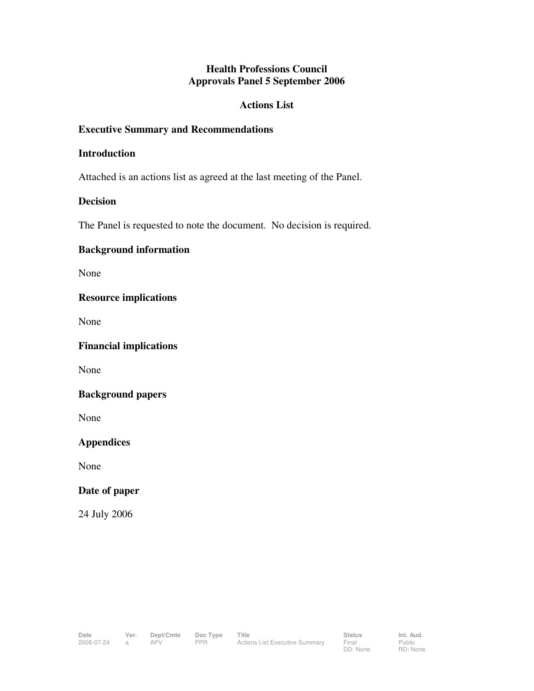## **Health Professions Council Approvals Panel 5 September 2006**

#### **Actions List**

## **Executive Summary and Recommendations**

#### **Introduction**

Attached is an actions list as agreed at the last meeting of the Panel.

## **Decision**

The Panel is requested to note the document. No decision is required.

## **Background information**

None

## **Resource implications**

None

**Financial implications** 

None

#### **Background papers**

None

# **Appendices**

None

# **Date of paper**

24 July 2006

Public RD: None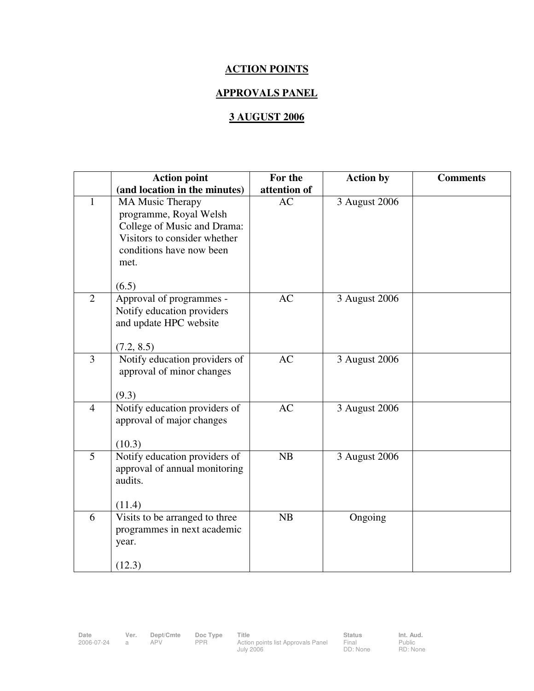# **ACTION POINTS**

# **APPROVALS PANEL**

# **3 AUGUST 2006**

|                | <b>Action point</b>                                                                                                                                           | For the      | <b>Action by</b> | <b>Comments</b> |
|----------------|---------------------------------------------------------------------------------------------------------------------------------------------------------------|--------------|------------------|-----------------|
|                | (and location in the minutes)                                                                                                                                 | attention of |                  |                 |
| $\mathbf{1}$   | <b>MA Music Therapy</b><br>programme, Royal Welsh<br>College of Music and Drama:<br>Visitors to consider whether<br>conditions have now been<br>met.<br>(6.5) | AC           | 3 August 2006    |                 |
| $\overline{2}$ | Approval of programmes -<br>Notify education providers<br>and update HPC website<br>(7.2, 8.5)                                                                | AC           | 3 August 2006    |                 |
| $\overline{3}$ | Notify education providers of<br>approval of minor changes<br>(9.3)                                                                                           | AC           | 3 August 2006    |                 |
| $\overline{4}$ | Notify education providers of<br>approval of major changes<br>(10.3)                                                                                          | <b>AC</b>    | 3 August 2006    |                 |
| 5              | Notify education providers of<br>approval of annual monitoring<br>audits.<br>(11.4)                                                                           | NB           | 3 August 2006    |                 |
| 6              | Visits to be arranged to three<br>programmes in next academic<br>year.<br>(12.3)                                                                              | NB           | Ongoing          |                 |

Public RD: None